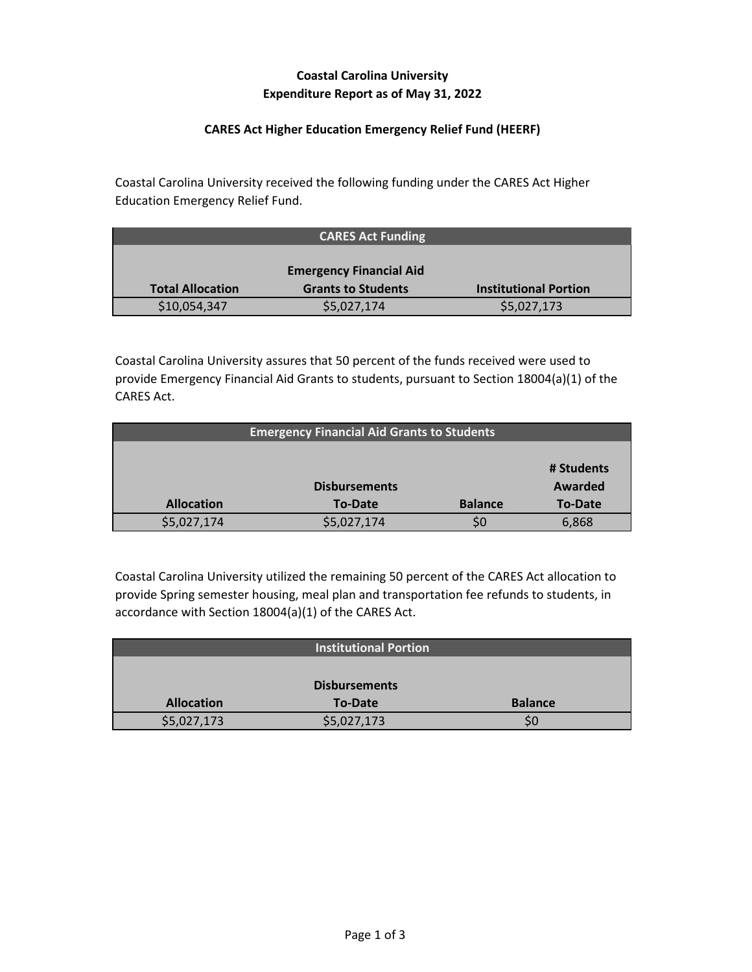# **Coastal Carolina University Expenditure Report as of May 31, 2022**

### **CARES Act Higher Education Emergency Relief Fund (HEERF)**

Coastal Carolina University received the following funding under the CARES Act Higher Education Emergency Relief Fund.

|                         | <b>CARES Act Funding</b>       |                              |
|-------------------------|--------------------------------|------------------------------|
|                         |                                |                              |
|                         | <b>Emergency Financial Aid</b> |                              |
| <b>Total Allocation</b> | <b>Grants to Students</b>      | <b>Institutional Portion</b> |
| \$10,054,347            | \$5,027,174                    | \$5,027,173                  |

Coastal Carolina University assures that 50 percent of the funds received were used to provide Emergency Financial Aid Grants to students, pursuant to Section 18004(a)(1) of the CARES Act.

| <b>Emergency Financial Aid Grants to Students</b> |                      |                |                |
|---------------------------------------------------|----------------------|----------------|----------------|
|                                                   |                      |                |                |
|                                                   |                      |                | # Students     |
|                                                   | <b>Disbursements</b> |                | Awarded        |
| <b>Allocation</b>                                 | <b>To-Date</b>       | <b>Balance</b> | <b>To-Date</b> |
| \$5,027,174                                       | \$5,027,174          |                | 6,868          |

Coastal Carolina University utilized the remaining 50 percent of the CARES Act allocation to provide Spring semester housing, meal plan and transportation fee refunds to students, in accordance with Section 18004(a)(1) of the CARES Act.

|                   | <b>Institutional Portion</b> |                |
|-------------------|------------------------------|----------------|
|                   |                              |                |
|                   | <b>Disbursements</b>         |                |
| <b>Allocation</b> | <b>To-Date</b>               | <b>Balance</b> |
| \$5,027,173       | \$5,027,173                  | SC             |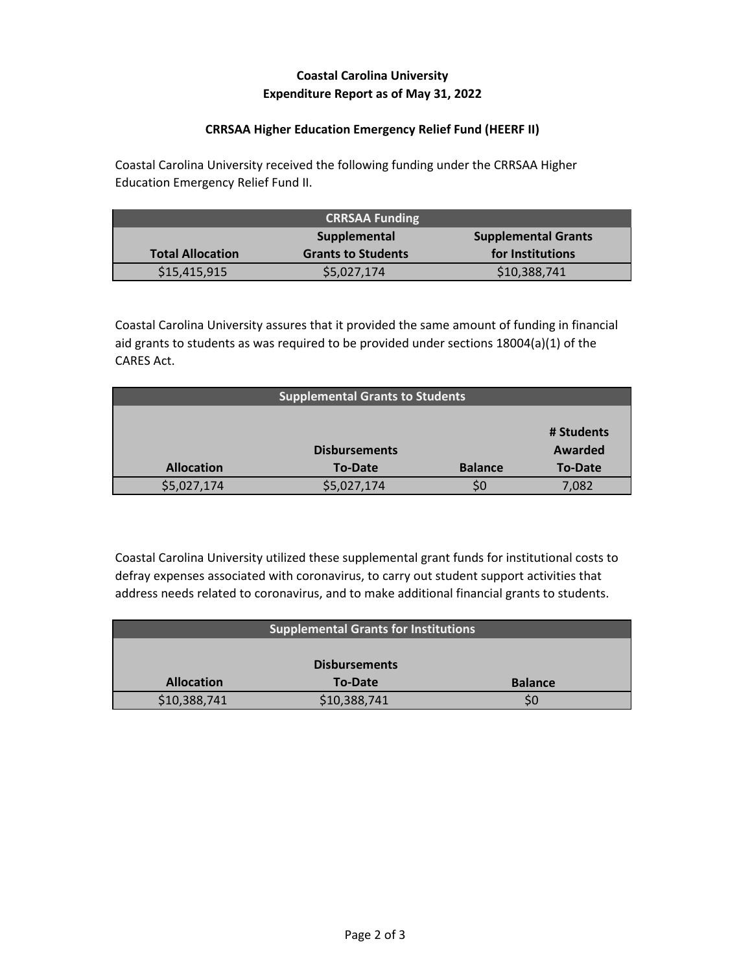## **Coastal Carolina University Expenditure Report as of May 31, 2022**

#### **CRRSAA Higher Education Emergency Relief Fund (HEERF II)**

Coastal Carolina University received the following funding under the CRRSAA Higher Education Emergency Relief Fund II.

| <b>CRRSAA Funding</b>                      |                           |                  |
|--------------------------------------------|---------------------------|------------------|
| <b>Supplemental Grants</b><br>Supplemental |                           |                  |
| <b>Total Allocation</b>                    | <b>Grants to Students</b> | for Institutions |
| \$15,415,915                               | \$5,027,174               | \$10,388,741     |

Coastal Carolina University assures that it provided the same amount of funding in financial aid grants to students as was required to be provided under sections 18004(a)(1) of the CARES Act.

| <b>Supplemental Grants to Students</b> |             |                |                |
|----------------------------------------|-------------|----------------|----------------|
|                                        |             |                |                |
|                                        |             |                | # Students     |
| <b>Disbursements</b>                   |             |                | Awarded        |
| <b>Allocation</b>                      | To-Date     | <b>Balance</b> | <b>To-Date</b> |
| \$5,027,174                            | \$5,027,174 |                | 7,082          |

Coastal Carolina University utilized these supplemental grant funds for institutional costs to defray expenses associated with coronavirus, to carry out student support activities that address needs related to coronavirus, and to make additional financial grants to students.

| <b>Supplemental Grants for Institutions</b>           |              |  |  |  |
|-------------------------------------------------------|--------------|--|--|--|
|                                                       |              |  |  |  |
| <b>Disbursements</b>                                  |              |  |  |  |
| <b>Allocation</b><br><b>Balance</b><br><b>To-Date</b> |              |  |  |  |
| \$10,388,741                                          | \$10,388,741 |  |  |  |